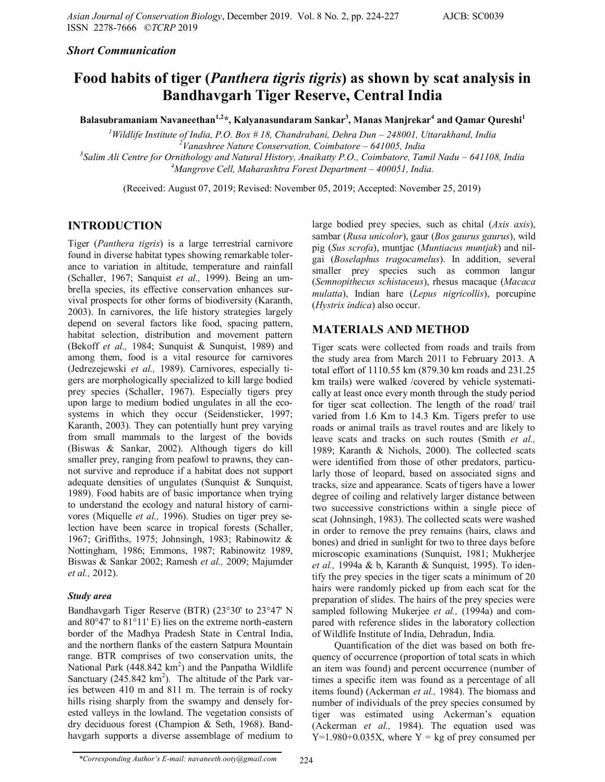#### *Short Communication*

# **Food habits of tiger (***Panthera tigris tigris***) as shown by scat analysis in Bandhavgarh Tiger Reserve, Central India**

**Balasubramaniam Navaneethan1,2\*, Kalyanasundaram Sankar<sup>3</sup> , Manas Manjrekar<sup>4</sup> and Qamar Qureshi<sup>1</sup>**

<sup>1</sup>*Wildlife Institute of India, P.O. Box # 18, Chandrabani, Dehra Dun – 248001, Uttarakhand, India <sup>2</sup>Vanashree Nature Conservation, Coimbatore – 641005, India*

<sup>3</sup> Salim Ali Centre for Ornithology and Natural History, Anaikatty P.O., Coimbatore, Tamil Nadu – 641108, India *<sup>4</sup>Mangrove Cell, Maharashtra Forest Department – 400051, India.*

(Received: August 07, 2019; Revised: November 05, 2019; Accepted: November 25, 2019)

## **INTRODUCTION**

Tiger (*Panthera tigris*) is a large terrestrial carnivore found in diverse habitat types showing remarkable tolerance to variation in altitude, temperature and rainfall (Schaller, 1967; Sanquist *et al.,* 1999). Being an umbrella species, its effective conservation enhances survival prospects for other forms of biodiversity (Karanth, 2003). In carnivores, the life history strategies largely depend on several factors like food, spacing pattern, habitat selection, distribution and movement pattern (Bekoff *et al.,* 1984; Sunquist & Sunquist, 1989) and among them, food is a vital resource for carnivores (Jedrezejewski *et al.,* 1989). Carnivores, especially tigers are morphologically specialized to kill large bodied prey species (Schaller, 1967). Especially tigers prey upon large to medium bodied ungulates in all the ecosystems in which they occur (Seidensticker, 1997; Karanth, 2003). They can potentially hunt prey varying from small mammals to the largest of the bovids (Biswas & Sankar, 2002). Although tigers do kill smaller prey, ranging from peafowl to prawns, they cannot survive and reproduce if a habitat does not support adequate densities of ungulates (Sunquist & Sunquist, 1989). Food habits are of basic importance when trying to understand the ecology and natural history of carnivores (Miquelle *et al.,* 1996). Studies on tiger prey selection have been scarce in tropical forests (Schaller, 1967; Griffiths, 1975; Johnsingh, 1983; Rabinowitz & Nottingham, 1986; Emmons, 1987; Rabinowitz 1989, Biswas & Sankar 2002; Ramesh *et al.,* 2009; Majumder *et al.,* 2012).

#### *Study area*

Bandhavgarh Tiger Reserve (BTR) (23°30' to 23°47' N and 80°47' to 81°11' E) lies on the extreme north-eastern border of the Madhya Pradesh State in Central India, and the northern flanks of the eastern Satpura Mountain range. BTR comprises of two conservation units, the National Park  $(448.842 \text{ km}^2)$  and the Panpatha Wildlife Sanctuary  $(245.842 \text{ km}^2)$ . The altitude of the Park varies between 410 m and 811 m. The terrain is of rocky hills rising sharply from the swampy and densely forested valleys in the lowland. The vegetation consists of dry deciduous forest (Champion & Seth, 1968). Bandhavgarh supports a diverse assemblage of medium to

large bodied prey species, such as chital (*Axis axis*), sambar (*Rusa unicolor*), gaur (*Bos gaurus gaurus*), wild pig (*Sus scrofa*), muntjac (*Muntiacus muntjak*) and nilgai (*Boselaphus tragocamelus*). In addition, several smaller prey species such as common langur (*Semnopithecus schistaceus*), rhesus macaque (*Macaca mulatta*), Indian hare (*Lepus nigricollis*), porcupine (*Hystrix indica*) also occur.

## **MATERIALS AND METHOD**

Tiger scats were collected from roads and trails from the study area from March 2011 to February 2013. A total effort of 1110.55 km (879.30 km roads and 231.25 km trails) were walked /covered by vehicle systematically at least once every month through the study period for tiger scat collection. The length of the road/ trail varied from 1.6 Km to 14.3 Km. Tigers prefer to use roads or animal trails as travel routes and are likely to leave scats and tracks on such routes (Smith *et al.,* 1989; Karanth & Nichols, 2000). The collected scats were identified from those of other predators, particularly those of leopard, based on associated signs and tracks, size and appearance. Scats of tigers have a lower degree of coiling and relatively larger distance between two successive constrictions within a single piece of scat (Johnsingh, 1983). The collected scats were washed in order to remove the prey remains (hairs, claws and bones) and dried in sunlight for two to three days before microscopic examinations (Sunquist, 1981; Mukherjee *et al.,* 1994a & b, Karanth & Sunquist, 1995). To identify the prey species in the tiger scats a minimum of 20 hairs were randomly picked up from each scat for the preparation of slides. The hairs of the prey species were sampled following Mukerjee *et al.,* (1994a) and compared with reference slides in the laboratory collection of Wildlife Institute of India, Dehradun, India.

Quantification of the diet was based on both frequency of occurrence (proportion of total scats in which an item was found) and percent occurrence (number of times a specific item was found as a percentage of all items found) (Ackerman *et al.,* 1984). The biomass and number of individuals of the prey species consumed by tiger was estimated using Ackerman's equation (Ackerman *et al.,* 1984). The equation used was  $Y=1.980+0.035X$ , where  $Y = \text{kg}$  of prey consumed per

*<sup>\*</sup>Corresponding Author's E-mail: navaneeth.ooty@gmail.com* 224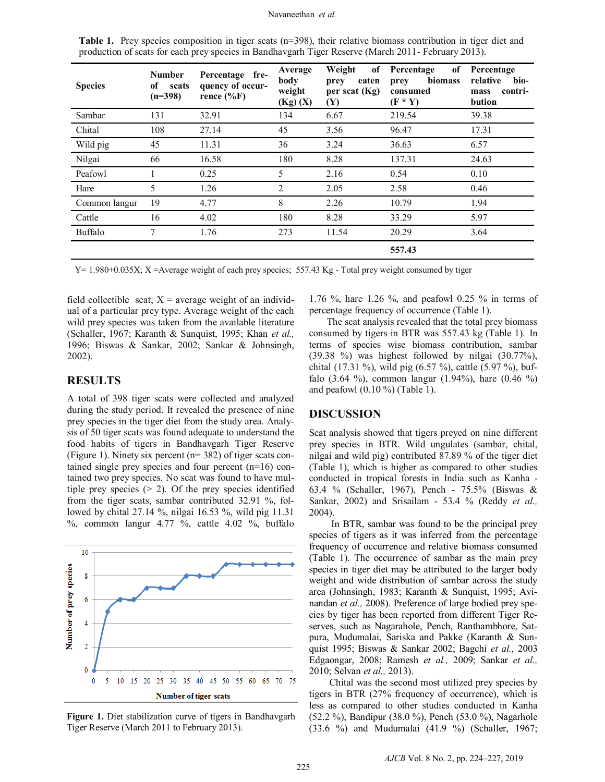| <b>Species</b> | <b>Number</b><br>of<br>scats<br>$(n=398)$ | Percentage fre-<br>quency of occur-<br>rence $(\%F)$ | Average<br>body<br>weight<br>(Kg)(X) | Weight<br>of<br>eaten<br>prey<br>per scat $(Kg)$<br><b>(Y)</b> | of<br>Percentage<br>biomass<br>prey<br>consumed<br>$(F * Y)$ | Percentage<br>relative<br>bio-<br>contri-<br>mass<br>bution |
|----------------|-------------------------------------------|------------------------------------------------------|--------------------------------------|----------------------------------------------------------------|--------------------------------------------------------------|-------------------------------------------------------------|
| Sambar         | 131                                       | 32.91                                                | 134                                  | 6.67                                                           | 219.54                                                       | 39.38                                                       |
| Chital         | 108                                       | 27.14                                                | 45                                   | 3.56                                                           | 96.47                                                        | 17.31                                                       |
| Wild pig       | 45                                        | 11.31                                                | 36                                   | 3.24                                                           | 36.63                                                        | 6.57                                                        |
| Nilgai         | 66                                        | 16.58                                                | 180                                  | 8.28                                                           | 137.31                                                       | 24.63                                                       |
| Peafowl        |                                           | 0.25                                                 | 5                                    | 2.16                                                           | 0.54                                                         | 0.10                                                        |
| Hare           | 5                                         | 1.26                                                 | 2                                    | 2.05                                                           | 2.58                                                         | 0.46                                                        |
| Common langur  | 19                                        | 4.77                                                 | 8                                    | 2.26                                                           | 10.79                                                        | 1.94                                                        |
| Cattle         | 16                                        | 4.02                                                 | 180                                  | 8.28                                                           | 33.29                                                        | 5.97                                                        |
| <b>Buffalo</b> | $\tau$                                    | 1.76                                                 | 273                                  | 11.54                                                          | 20.29                                                        | 3.64                                                        |
|                |                                           |                                                      |                                      |                                                                | 557.43                                                       |                                                             |

**Table 1.** Prey species composition in tiger scats (n=398), their relative biomass contribution in tiger diet and production of scats for each prey species in Bandhavgarh Tiger Reserve (March 2011- February 2013).

 $Y= 1.980+0.035X$ ; X =Average weight of each prey species; 557.43 Kg - Total prey weight consumed by tiger

field collectible scat;  $X =$  average weight of an individual of a particular prey type. Average weight of the each wild prey species was taken from the available literature (Schaller, 1967; Karanth & Sunquist, 1995; Khan *et al.,* 1996; Biswas & Sankar, 2002; Sankar & Johnsingh, 2002).

#### **RESULTS**

A total of 398 tiger scats were collected and analyzed during the study period. It revealed the presence of nine prey species in the tiger diet from the study area. Analysis of 50 tiger scats was found adequate to understand the food habits of tigers in Bandhavgarh Tiger Reserve (Figure 1). Ninety six percent (n= 382) of tiger scats contained single prey species and four percent (n=16) contained two prey species. No scat was found to have multiple prey species  $(> 2)$ . Of the prey species identified from the tiger scats, sambar contributed 32.91 %, followed by chital 27.14 %, nilgai 16.53 %, wild pig 11.31  $\%$ , common langur 4.77 %, cattle 4.02 %, buffalo



**Figure 1.** Diet stabilization curve of tigers in Bandhavgarh Tiger Reserve (March 2011 to February 2013).

1.76 %, hare 1.26 %, and peafowl 0.25 % in terms of percentage frequency of occurrence (Table 1).

The scat analysis revealed that the total prey biomass consumed by tigers in BTR was 557.43 kg (Table 1). In terms of species wise biomass contribution, sambar (39.38 %) was highest followed by nilgai (30.77%), chital (17.31 %), wild pig (6.57 %), cattle (5.97 %), buffalo (3.64 %), common langur (1.94%), hare (0.46 %) and peafowl (0.10 %) (Table 1).

#### **DISCUSSION**

Scat analysis showed that tigers preyed on nine different prey species in BTR. Wild ungulates (sambar, chital, nilgai and wild pig) contributed 87.89 % of the tiger diet (Table 1), which is higher as compared to other studies conducted in tropical forests in India such as Kanha - 63.4 % (Schaller, 1967), Pench - 75.5% (Biswas & Sankar, 2002) and Srisailam - 53.4 % (Reddy *et al.,* 2004).

In BTR, sambar was found to be the principal prey species of tigers as it was inferred from the percentage frequency of occurrence and relative biomass consumed (Table 1). The occurrence of sambar as the main prey species in tiger diet may be attributed to the larger body weight and wide distribution of sambar across the study area (Johnsingh, 1983; Karanth & Sunquist, 1995; Avinandan *et al.,* 2008). Preference of large bodied prey species by tiger has been reported from different Tiger Reserves, such as Nagarahole, Pench, Ranthambhore, Satpura, Mudumalai, Sariska and Pakke (Karanth & Sunquist 1995; Biswas & Sankar 2002; Bagchi *et al.,* 2003 Edgaongar, 2008; Ramesh *et al.,* 2009; Sankar *et al.,* 2010; Selvan *et al.,* 2013).

Chital was the second most utilized prey species by tigers in BTR (27% frequency of occurrence), which is less as compared to other studies conducted in Kanha (52.2 %), Bandipur (38.0 %), Pench (53.0 %), Nagarhole (33.6 %) and Mudumalai (41.9 %) (Schaller, 1967;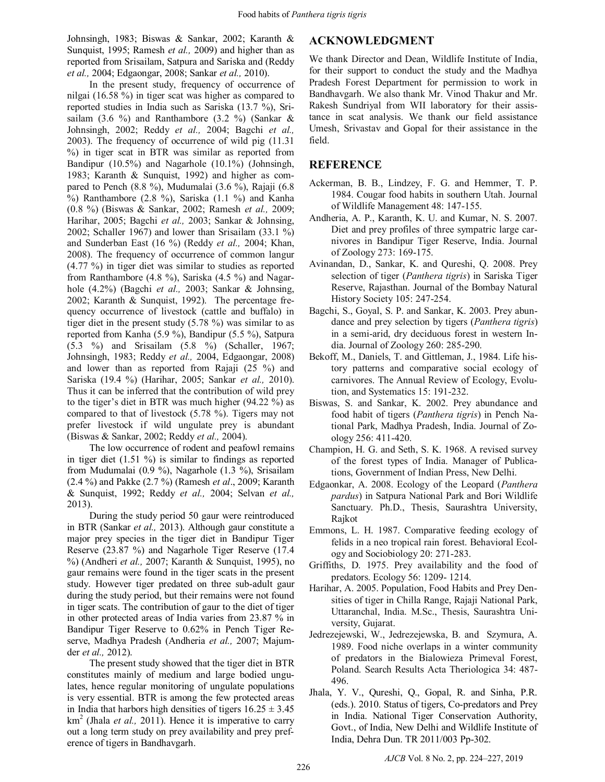Johnsingh, 1983; Biswas & Sankar, 2002; Karanth & Sunquist, 1995; Ramesh *et al.,* 2009) and higher than as reported from Srisailam, Satpura and Sariska and (Reddy *et al.,* 2004; Edgaongar, 2008; Sankar *et al.,* 2010).

In the present study, frequency of occurrence of nilgai (16.58 %) in tiger scat was higher as compared to reported studies in India such as Sariska (13.7 %), Srisailam (3.6 %) and Ranthambore (3.2 %) (Sankar & Johnsingh, 2002; Reddy *et al.,* 2004; Bagchi *et al.,* 2003). The frequency of occurrence of wild pig (11.31 %) in tiger scat in BTR was similar as reported from Bandipur (10.5%) and Nagarhole (10.1%) (Johnsingh, 1983; Karanth & Sunquist, 1992) and higher as compared to Pench (8.8 %), Mudumalai (3.6 %), Rajaji (6.8  $\%$ ) Ranthambore (2.8 %), Sariska (1.1 %) and Kanha (0.8 %) (Biswas & Sankar, 2002; Ramesh *et al.,* 2009; Harihar, 2005; Bagchi *et al.,* 2003; Sankar & Johnsing, 2002; Schaller 1967) and lower than Srisailam (33.1 %) and Sunderban East (16 %) (Reddy *et al.,* 2004; Khan, 2008). The frequency of occurrence of common langur (4.77 %) in tiger diet was similar to studies as reported from Ranthambore (4.8 %), Sariska (4.5 %) and Nagarhole (4.2%) (Bagchi *et al.,* 2003; Sankar & Johnsing, 2002; Karanth & Sunquist, 1992). The percentage frequency occurrence of livestock (cattle and buffalo) in tiger diet in the present study (5.78 %) was similar to as reported from Kanha (5.9 %), Bandipur (5.5 %), Satpura (5.3 %) and Srisailam (5.8 %) (Schaller, 1967; Johnsingh, 1983; Reddy *et al.,* 2004, Edgaongar, 2008) and lower than as reported from Rajaji (25 %) and Sariska (19.4 %) (Harihar, 2005; Sankar *et al.,* 2010). Thus it can be inferred that the contribution of wild prey to the tiger's diet in BTR was much higher (94.22 %) as compared to that of livestock (5.78 %). Tigers may not prefer livestock if wild ungulate prey is abundant (Biswas & Sankar, 2002; Reddy *et al.,* 2004).

The low occurrence of rodent and peafowl remains in tiger diet  $(1.51 \%)$  is similar to findings as reported from Mudumalai (0.9 %), Nagarhole (1.3 %), Srisailam (2.4 %) and Pakke (2.7 %) (Ramesh *et al*., 2009; Karanth & Sunquist, 1992; Reddy *et al.,* 2004; Selvan *et al.,* 2013).

During the study period 50 gaur were reintroduced in BTR (Sankar *et al.,* 2013). Although gaur constitute a major prey species in the tiger diet in Bandipur Tiger Reserve (23.87 %) and Nagarhole Tiger Reserve (17.4 %) (Andheri *et al.,* 2007; Karanth & Sunquist, 1995), no gaur remains were found in the tiger scats in the present study. However tiger predated on three sub-adult gaur during the study period, but their remains were not found in tiger scats. The contribution of gaur to the diet of tiger in other protected areas of India varies from 23.87 % in Bandipur Tiger Reserve to 0.62% in Pench Tiger Reserve, Madhya Pradesh (Andheria *et al.,* 2007; Majumder *et al.,* 2012).

The present study showed that the tiger diet in BTR constitutes mainly of medium and large bodied ungulates, hence regular monitoring of ungulate populations is very essential. BTR is among the few protected areas in India that harbors high densities of tigers  $16.25 \pm 3.45$ km<sup>2</sup> (Jhala *et al.,* 2011). Hence it is imperative to carry out a long term study on prey availability and prey preference of tigers in Bandhavgarh.

## **ACKNOWLEDGMENT**

We thank Director and Dean, Wildlife Institute of India, for their support to conduct the study and the Madhya Pradesh Forest Department for permission to work in Bandhavgarh. We also thank Mr. Vinod Thakur and Mr. Rakesh Sundriyal from WII laboratory for their assistance in scat analysis. We thank our field assistance Umesh, Srivastav and Gopal for their assistance in the field.

## **REFERENCE**

- Ackerman, B. B., Lindzey, F. G. and Hemmer, T. P. 1984. Cougar food habits in southern Utah. Journal of Wildlife Management 48: 147-155.
- Andheria, A. P., Karanth, K. U. and Kumar, N. S. 2007. Diet and prey profiles of three sympatric large carnivores in Bandipur Tiger Reserve, India. Journal of Zoology 273: 169-175.
- Avinandan, D., Sankar, K. and Qureshi, Q. 2008. Prey selection of tiger (*Panthera tigris*) in Sariska Tiger Reserve, Rajasthan. Journal of the Bombay Natural History Society 105: 247-254.
- Bagchi, S., Goyal, S. P. and Sankar, K. 2003. Prey abundance and prey selection by tigers (*Panthera tigris*) in a semi-arid, dry deciduous forest in western India. Journal of Zoology 260: 285-290.
- Bekoff, M., Daniels, T. and Gittleman, J., 1984. Life history patterns and comparative social ecology of carnivores. The Annual Review of Ecology, Evolution, and Systematics 15: 191-232.
- Biswas, S. and Sankar, K. 2002. Prey abundance and food habit of tigers (*Panthera tigris*) in Pench National Park, Madhya Pradesh, India. Journal of Zoology 256: 411-420.
- Champion, H. G. and Seth, S. K. 1968. A revised survey of the forest types of India. Manager of Publications, Government of Indian Press, New Delhi.
- Edgaonkar, A. 2008. Ecology of the Leopard (*Panthera pardus*) in Satpura National Park and Bori Wildlife Sanctuary. Ph.D., Thesis, Saurashtra University, Rajkot
- Emmons, L. H. 1987. Comparative feeding ecology of felids in a neo tropical rain forest. Behavioral Ecology and Sociobiology 20: 271-283.
- Griffiths, D. 1975. Prey availability and the food of predators. Ecology 56: 1209- 1214.
- Harihar, A. 2005. Population, Food Habits and Prey Densities of tiger in Chilla Range, Rajaji National Park, Uttaranchal, India. M.Sc., Thesis, Saurashtra University, Gujarat.
- Jedrezejewski, W., Jedrezejewska, B. and Szymura, A. 1989. Food niche overlaps in a winter community of predators in the Bialowieza Primeval Forest, Poland. Search Results Acta Theriologica 34: 487- 496.
- Jhala, Y. V., Qureshi, Q., Gopal, R. and Sinha, P.R. (eds.). 2010. Status of tigers, Co-predators and Prey in India. National Tiger Conservation Authority, Govt., of India, New Delhi and Wildlife Institute of India, Dehra Dun. TR 2011/003 Pp-302.